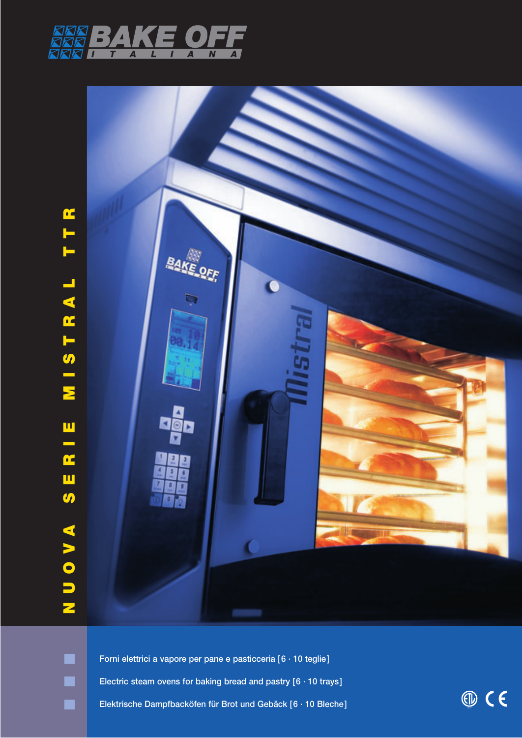



**Forni elettrici a vapore per pane e pasticceria [6 · 10 teglie] Electric steam ovens for baking bread and pastry [6 · 10 trays] Elektrische Dampfbacköfen für Brot und Gebäck [6 · 10 Bleche]**

 $<sup>①</sup>$  C E</sup>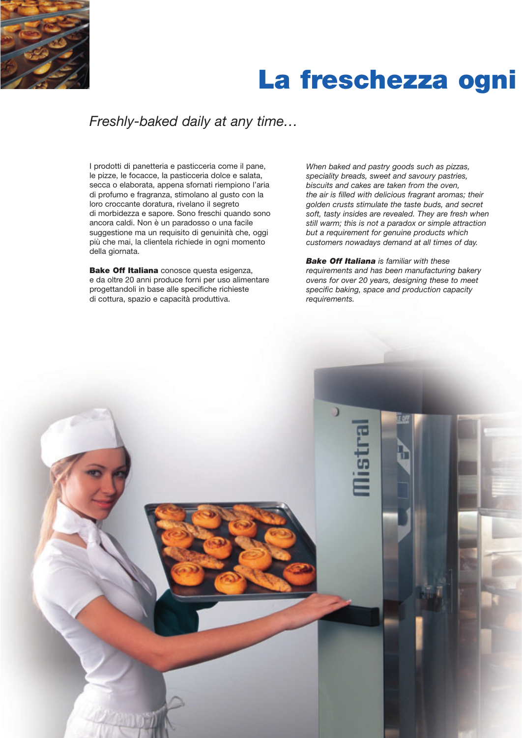

# **La freschezza ogni**

## *Freshly-baked daily at any time…*

I prodotti di panetteria e pasticceria come il pane, le pizze, le focacce, la pasticceria dolce e salata, secca o elaborata, appena sfornati riempiono l'aria di profumo e fragranza, stimolano al gusto con la loro croccante doratura, rivelano il segreto di morbidezza e sapore. Sono freschi quando sono ancora caldi. Non è un paradosso o una facile suggestione ma un requisito di genuinità che, oggi più che mai, la clientela richiede in ogni momento della giornata.

**Bake Off Italiana** conosce questa esigenza, e da oltre 20 anni produce forni per uso alimentare progettandoli in base alle specifiche richieste di cottura, spazio e capacità produttiva.

*When baked and pastry goods such as pizzas, speciality breads, sweet and savoury pastries, biscuits and cakes are taken from the oven, the air is filled with delicious fragrant aromas; their golden crusts stimulate the taste buds, and secret soft, tasty insides are revealed. They are fresh when still warm; this is not a paradox or simple attraction but a requirement for genuine products which customers nowadays demand at all times of day.*

*Bake Off Italiana is familiar with these requirements and has been manufacturing bakery ovens for over 20 years, designing these to meet specific baking, space and production capacity requirements.*

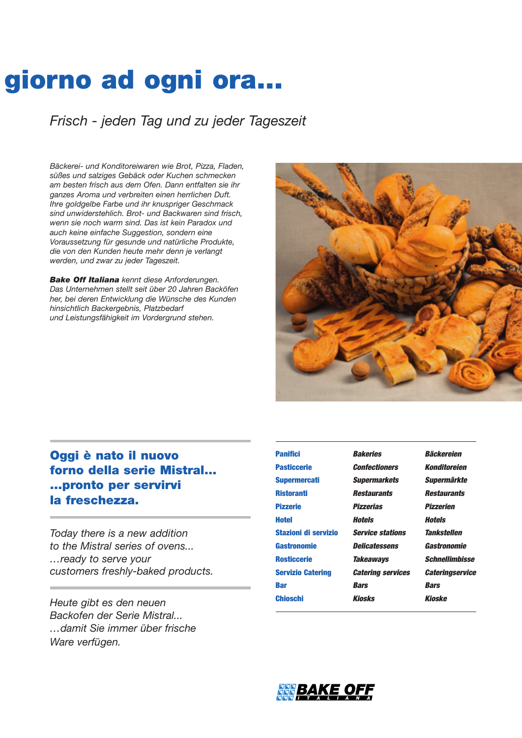# **giorno ad ogni ora…**

*Frisch - jeden Tag und zu jeder Tageszeit*

*Bäckerei- und Konditoreiwaren wie Brot, Pizza, Fladen, süßes und salziges Gebäck oder Kuchen schmecken am besten frisch aus dem Ofen. Dann entfalten sie ihr ganzes Aroma und verbreiten einen herrlichen Duft. Ihre goldgelbe Farbe und ihr knuspriger Geschmack sind unwiderstehlich. Brot- und Backwaren sind frisch, wenn sie noch warm sind. Das ist kein Paradox und auch keine einfache Suggestion, sondern eine Voraussetzung für gesunde und natürliche Produkte, die von den Kunden heute mehr denn je verlangt werden, und zwar zu jeder Tageszeit.*

*Bake Off Italiana kennt diese Anforderungen. Das Unternehmen stellt seit über 20 Jahren Backöfen her, bei deren Entwicklung die Wünsche des Kunden hinsichtlich Backergebnis, Platzbedarf und Leistungsfähigkeit im Vordergrund stehen.*



### **Oggi è nato il nuovo forno della serie Mistral... …pronto per servirvi la freschezza.**

*Today there is a new addition to the Mistral series of ovens... …ready to serve your customers freshly-baked products.*

*Heute gibt es den neuen Backofen der Serie Mistral... …damit Sie immer über frische Ware verfügen.*

| <b>Panifici</b>          | <b>Bakeries</b>          | Bäckereien             |  |
|--------------------------|--------------------------|------------------------|--|
| <b>Pasticcerie</b>       | <b>Confectioners</b>     | Konditoreien           |  |
| <b>Supermercati</b>      | <b>Supermarkets</b>      | Supermärkte            |  |
| <b>Ristoranti</b>        | Restaurants              | Restaurants            |  |
| <b>Pizzerie</b>          | <b>Pizzerias</b>         | <b>Pizzerien</b>       |  |
| Hotel                    | Hotels                   | Hotels                 |  |
| Stazioni di servizio     | <b>Service stations</b>  | Tankstellen            |  |
| Gastronomie              | Delicatessens            | Gastronomie            |  |
| <b>Rosticcerie</b>       | Takeaways                | Schnellimbisse         |  |
| <b>Servizio Catering</b> | <b>Catering services</b> | <b>Cateringservice</b> |  |
| Bar                      | Bars                     | <b>Bars</b>            |  |
| Chioschi                 | <b>Kinsks</b>            | Kinske                 |  |
|                          |                          |                        |  |

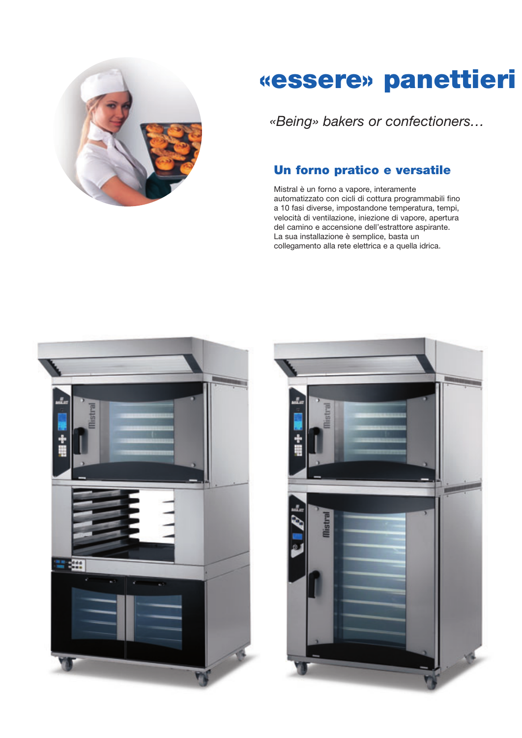

# **«essere» panettieri**

*«Being» bakers or confectioners…*

### **Un forno pratico e versatile**

Mistral è un forno a vapore, interamente automatizzato con cicli di cottura programmabili fino a 10 fasi diverse, impostandone temperatura, tempi, velocità di ventilazione, iniezione di vapore, apertura del camino e accensione dell'estrattore aspirante. La sua installazione è semplice, basta un collegamento alla rete elettrica e a quella idrica.



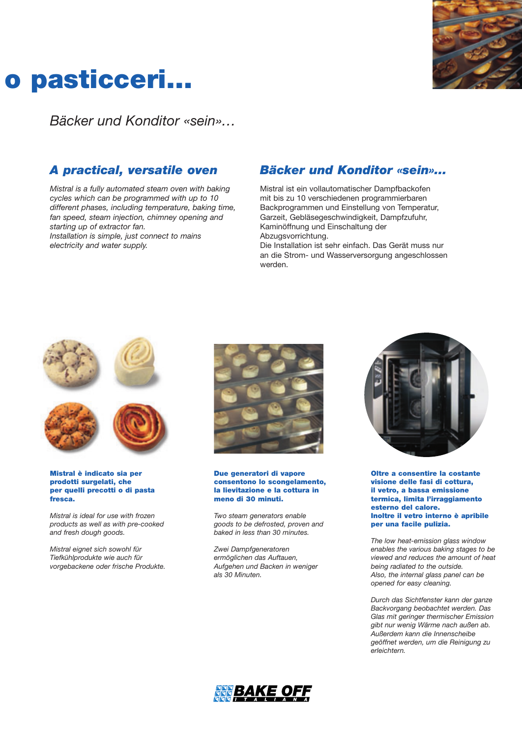

# **o pasticceri…**

*Bäcker und Konditor «sein»…*

### *A practical, versatile oven*

*Mistral is a fully automated steam oven with baking cycles which can be programmed with up to 10 different phases, including temperature, baking time, fan speed, steam injection, chimney opening and starting up of extractor fan. Installation is simple, just connect to mains electricity and water supply.*

### *Bäcker und Konditor «sein»…*

Mistral ist ein vollautomatischer Dampfbackofen mit bis zu 10 verschiedenen programmierbaren Backprogrammen und Einstellung von Temperatur, Garzeit, Gebläsegeschwindigkeit, Dampfzufuhr, Kaminöffnung und Einschaltung der Abzugsvorrichtung.

Die Installation ist sehr einfach. Das Gerät muss nur an die Strom- und Wasserversorgung angeschlossen werden.



**Mistral è indicato sia per prodotti surgelati, che per quelli precotti o di pasta fresca.**

*Mistral is ideal for use with frozen products as well as with pre-cooked and fresh dough goods.*

*Mistral eignet sich sowohl für Tiefkühlprodukte wie auch für vorgebackene oder frische Produkte.*



#### **Due generatori di vapore consentono lo scongelamento, la lievitazione e la cottura in meno di 30 minuti.**

*Two steam generators enable goods to be defrosted, proven and baked in less than 30 minutes.*

*Zwei Dampfgeneratoren ermöglichen das Auftauen, Aufgehen und Backen in weniger als 30 Minuten.*



**Oltre a consentire la costante visione delle fasi di cottura, il vetro, a bassa emissione termica, limita l'irraggiamento esterno del calore. Inoltre il vetro interno è apribile per una facile pulizia.**

*The low heat-emission glass window enables the various baking stages to be viewed and reduces the amount of heat being radiated to the outside. Also, the internal glass panel can be opened for easy cleaning.*

*Durch das Sichtfenster kann der ganze Backvorgang beobachtet werden. Das Glas mit geringer thermischer Emission gibt nur wenig Wärme nach außen ab. Außerdem kann die Innenscheibe geöffnet werden, um die Reinigung zu erleichtern.*

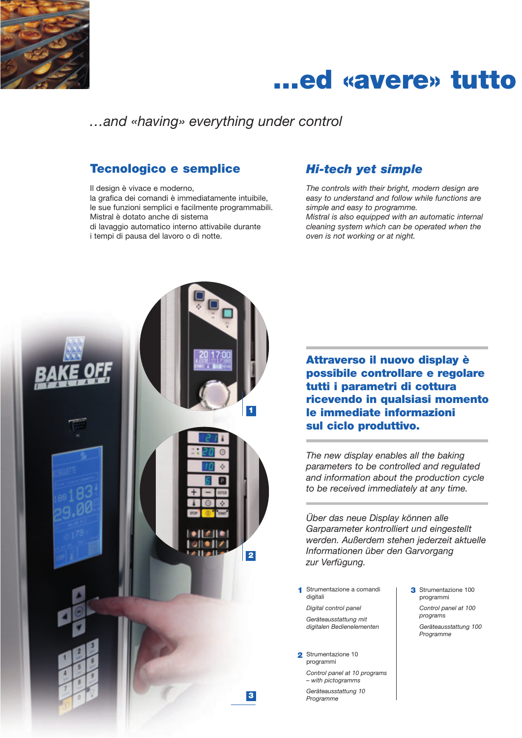

## **…ed «avere» tutto**

*…and «having» everything under control*

### **Tecnologico e semplice**

Il design è vivace e moderno, la grafica dei comandi è immediatamente intuibile, le sue funzioni semplici e facilmente programmabili. Mistral è dotato anche di sistema di lavaggio automatico interno attivabile durante i tempi di pausa del lavoro o di notte.

### *Hi-tech yet simple*

*The controls with their bright, modern design are easy to understand and follow while functions are simple and easy to programme. Mistral is also equipped with an automatic internal cleaning system which can be operated when the oven is not working or at night.*



**Attraverso il nuovo display è possibile controllare e regolare tutti i parametri di cottura ricevendo in qualsiasi momento le immediate informazioni sul ciclo produttivo.**

*The new display enables all the baking parameters to be controlled and regulated and information about the production cycle to be received immediately at any time.*

*Über das neue Display können alle Garparameter kontrolliert und eingestellt werden. Außerdem stehen jederzeit aktuelle Informationen über den Garvorgang zur Verfügung.*

**1** Strumentazione a comandi | **3** digitali

*Digital control panel Geräteausstattung mit digitalen Bedienelementen*

2 Strumentazione 10 programmi

> *Control panel at 10 programs – with pictogramms*

*Geräteausstattung 10 Programme*

- 3 Strumentazione 100 programmi
- *Control panel at 100 programs*
- *Geräteausstattung 100 Programme*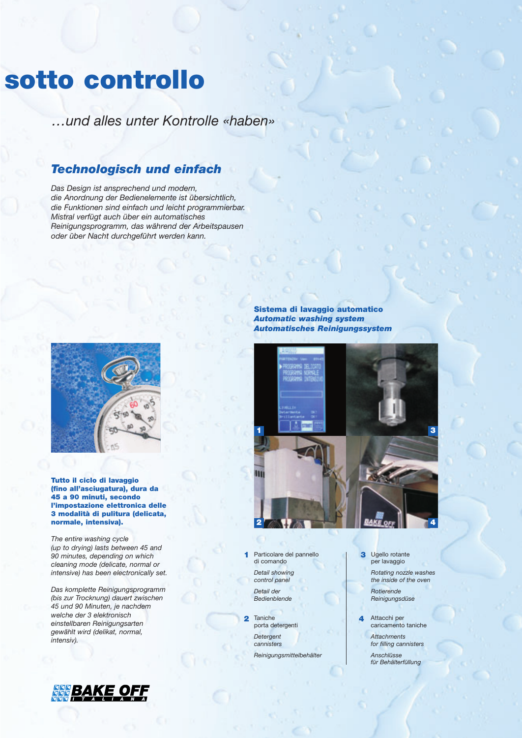## **sotto controllo**

*…und alles unter Kontrolle «haben»*

### *Technologisch und einfach*

*Das Design ist ansprechend und modern, die Anordnung der Bedienelemente ist übersichtlich, die Funktionen sind einfach und leicht programmierbar. Mistral verfügt auch über ein automatisches Reinigungsprogramm, das während der Arbeitspausen oder über Nacht durchgeführt werden kann.*



**Tutto il ciclo di lavaggio (fino all'asciugatura), dura da 45 a 90 minuti, secondo l'impostazione elettronica delle 3 modalità di pulitura (delicata, normale, intensiva).**

*The entire washing cycle (up to drying) lasts between 45 and 90 minutes, depending on which cleaning mode (delicate, normal or intensive) has been electronically set.*

*Das komplette Reinigungsprogramm (bis zur Trocknung) dauert zwischen 45 und 90 Minuten, je nachdem welche der 3 elektronisch einstellbaren Reinigungsarten gewählt wird (delikat, normal, intensiv).*



**Sistema di lavaggio automatico** *Automatic washing system Automatisches Reinigungssystem*



Particolare del pannello **1**  di comando *Detail showing control panel*

*Detail der Bedienblende*

2 Taniche porta detergenti *Detergent cannisters Reinigungsmittelbehälter* Ugello rotante **3** per lavaggio *Rotating nozzle washes the inside of the oven*

> *Rotierende Reinigungsdüse*

Attacchi per caricamento taniche

**4**

*Attachments for filling cannisters* 

*Anschlüsse für Behälterfüllung*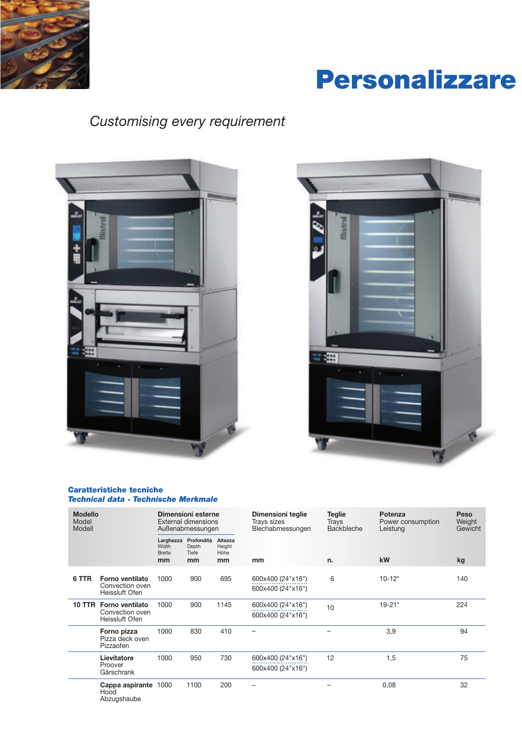

# **Personalizzare**

## *Customising every requirement*





### **Caratteristiche tecniche** *Technical data · Technische Merkmale*

| <b>Modello</b><br>Model<br>Modell |                                             | Dimensioni esterne<br><b>External dimensions</b><br>Außenabmessungen |                                    |                                 | Dimensioni teglie<br>Trays sizes<br>Blechabmessungen | <b>Teglie</b><br>Trays<br><b>Backbleche</b> | Potenza<br>Power consumption<br>Leistung | Peso<br>Weight<br>Gewicht |
|-----------------------------------|---------------------------------------------|----------------------------------------------------------------------|------------------------------------|---------------------------------|------------------------------------------------------|---------------------------------------------|------------------------------------------|---------------------------|
|                                   |                                             | Larghezza<br>Width<br><b>Breite</b><br>mm                            | Profondità<br>Depth<br>Tiefe<br>mm | Altezza<br>Height<br>Höhe<br>mm | mm                                                   | n.                                          | kW                                       | kg                        |
|                                   |                                             |                                                                      |                                    |                                 |                                                      |                                             |                                          |                           |
| 6 TTR                             | 1000<br><b>Forno ventilato</b>              |                                                                      | 900                                | 695                             | 600x400 (24"x16")                                    | 6                                           | $10 - 12*$                               | 140                       |
|                                   | Convection oven<br>Heissluft Ofen           |                                                                      |                                    |                                 | 600x400 (24"x16")                                    |                                             |                                          |                           |
|                                   | 10 TTR Forno ventilato<br>1000              | 900                                                                  | 1145                               | 600x400 (24"x16")               | 10                                                   | $19 - 21*$                                  | 224                                      |                           |
|                                   | Convection oven<br>Heissluft Ofen           |                                                                      |                                    |                                 | 600x400 (24"x16")                                    |                                             |                                          |                           |
|                                   | Forno pizza<br>Pizza deck oven<br>Pizzaofen | 1000                                                                 | 830                                | 410                             |                                                      |                                             | 3,9                                      | 94                        |
|                                   | Lievitatore                                 | 1000                                                                 | 950                                | 730                             | 600x400 (24"x16")                                    | 12                                          | 1,5                                      | 75                        |
|                                   | Proover<br>Gärschrank                       |                                                                      |                                    |                                 | 600x400 (24"x16")                                    |                                             |                                          |                           |
|                                   | Cappa aspirante 1000<br>Hood<br>Abzugshaube |                                                                      | 1100                               | 200                             |                                                      |                                             | 0,08                                     | 32                        |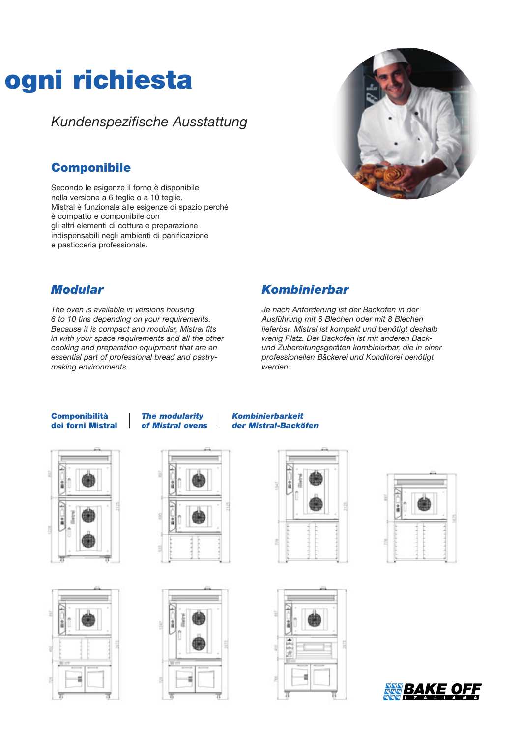# **ogni richiesta**

*Kundenspezifische Ausstattung*

### **Componibile**

Secondo le esigenze il forno è disponibile nella versione a 6 teglie o a 10 teglie. Mistral è funzionale alle esigenze di spazio perché è compatto e componibile con gli altri elementi di cottura e preparazione indispensabili negli ambienti di panificazione e pasticceria professionale.



### *Modular*

*The oven is available in versions housing 6 to 10 tins depending on your requirements. Because it is compact and modular, Mistral fits in with your space requirements and all the other cooking and preparation equipment that are an essential part of professional bread and pastrymaking environments.*

### *Kombinierbar*

*Je nach Anforderung ist der Backofen in der Ausführung mit 6 Blechen oder mit 8 Blechen lieferbar. Mistral ist kompakt und benötigt deshalb wenig Platz. Der Backofen ist mit anderen Backund Zubereitungsgeräten kombinierbar, die in einer professionellen Bäckerei und Konditorei benötigt werden.*

### **Componibilità dei forni Mistral**

*The modularity of Mistral ovens*

















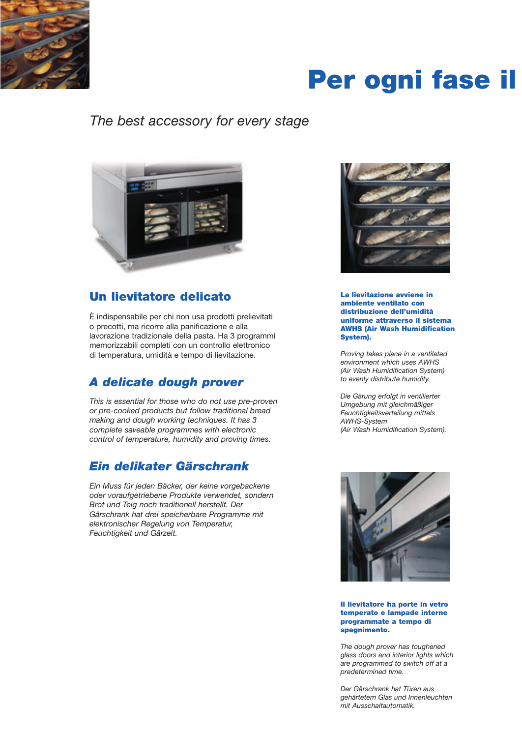

# **Per ogni fase il**

### *The best accessory for every stage*



### **Un lievitatore delicato**

È indispensabile per chi non usa prodotti prelievitati o precotti, ma ricorre alla panificazione e alla lavorazione tradizionale della pasta. Ha 3 programmi memorizzabili completi con un controllo elettronico di temperatura, umidità e tempo di lievitazione.

### *A delicate dough prover*

*This is essential for those who do not use pre-proven or pre-cooked products but follow traditional bread making and dough working techniques. It has 3 complete saveable programmes with electronic control of temperature, humidity and proving times.*

### *Ein delikater Gärschrank*

*Ein Muss für jeden Bäcker, der keine vorgebackene oder voraufgetriebene Produkte verwendet, sondern Brot und Teig noch traditionell herstellt. Der Gärschrank hat drei speicherbare Programme mit elektronischer Regelung von Temperatur, Feuchtigkeit und Gärzeit.*



**La lievitazione avviene in ambiente ventilato con distribuzione dell'umidità uniforme attraverso il sistema AWHS (Air Wash Humidification System).** 

*Proving takes place in a ventilated environment which uses AWHS (Air Wash Humidification System) to evenly distribute humidity.*

*Die Gärung erfolgt in ventilierter Umgebung mit gleichmäßiger Feuchtigkeitsverteilung mittels AWHS-System (Air Wash Humidification System).* 



#### **Il lievitatore ha porte in vetro temperato e lampade interne programmate a tempo di spegnimento.**

*The dough prover has toughened glass doors and interior lights which are programmed to switch off at a predetermined time.*

*Der Gärschrank hat Türen aus gehärtetem Glas und Innenleuchten mit Ausschaltautomatik.*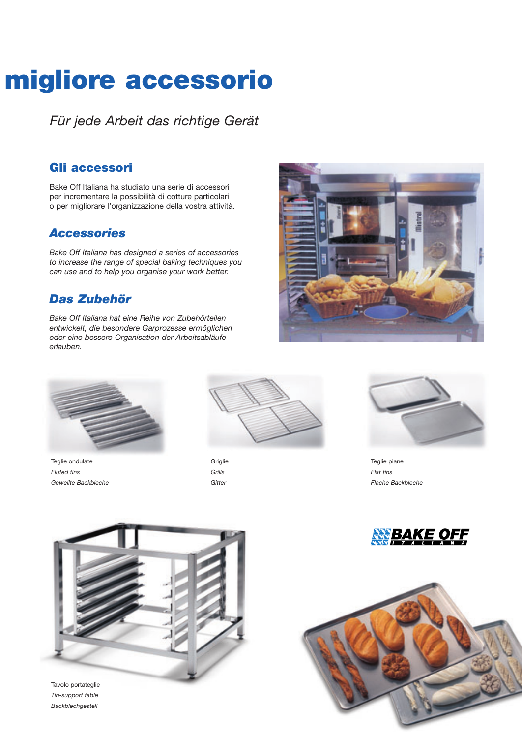# **migliore accessorio**

*Für jede Arbeit das richtige Gerät*

### **Gli accessori**

Bake Off Italiana ha studiato una serie di accessori per incrementare la possibilità di cotture particolari o per migliorare l'organizzazione della vostra attività.

### *Accessories*

*Bake Off Italiana has designed a series of accessories to increase the range of special baking techniques you can use and to help you organise your work better.*

### *Das Zubehör*

*Bake Off Italiana hat eine Reihe von Zubehörteilen entwickelt, die besondere Garprozesse ermöglichen oder eine bessere Organisation der Arbeitsabläufe erlauben.*





Teglie ondulate *Fluted tins Gewellte Backbleche*



**Griglie** *Grills Gitter*



Teglie piane *Flat tins Flache Backbleche*





Tavolo portateglie *Tin-support table Backblechgestell*